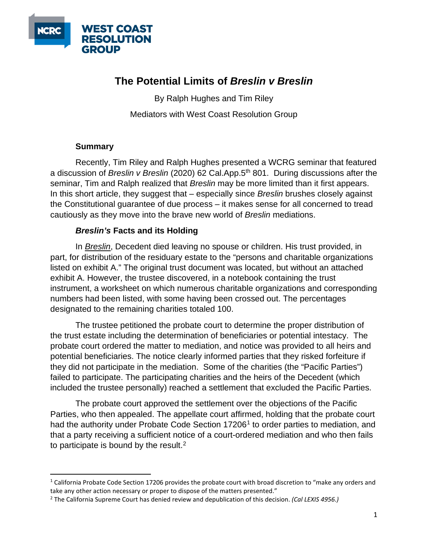

## **The Potential Limits of** *Breslin v Breslin*

By Ralph Hughes and Tim Riley Mediators with West Coast Resolution Group

## **Summary**

Recently, Tim Riley and Ralph Hughes presented a WCRG seminar that featured a discussion of *Breslin v Breslin* (2020) 62 Cal.App.5th 801. During discussions after the seminar, Tim and Ralph realized that *Breslin* may be more limited than it first appears. In this short article, they suggest that – especially since *Breslin* brushes closely against the Constitutional guarantee of due process – it makes sense for all concerned to tread cautiously as they move into the brave new world of *Breslin* mediations.

## *Breslin's* **Facts and its Holding**

In *Breslin*, Decedent died leaving no spouse or children. His trust provided, in part, for distribution of the residuary estate to the "persons and charitable organizations listed on exhibit A." The original trust document was located, but without an attached exhibit A. However, the trustee discovered, in a notebook containing the trust instrument, a worksheet on which numerous charitable organizations and corresponding numbers had been listed, with some having been crossed out. The percentages designated to the remaining charities totaled 100.

The trustee petitioned the probate court to determine the proper distribution of the trust estate including the determination of beneficiaries or potential intestacy. The probate court ordered the matter to mediation, and notice was provided to all heirs and potential beneficiaries. The notice clearly informed parties that they risked forfeiture if they did not participate in the mediation. Some of the charities (the "Pacific Parties") failed to participate. The participating charities and the heirs of the Decedent (which included the trustee personally) reached a settlement that excluded the Pacific Parties.

The probate court approved the settlement over the objections of the Pacific Parties, who then appealed. The appellate court affirmed, holding that the probate court had the authority under Probate Code Section [1](#page-0-0)7206<sup>1</sup> to order parties to mediation, and that a party receiving a sufficient notice of a court-ordered mediation and who then fails to participate is bound by the result. $2$ 

<span id="page-0-0"></span> $1$  California Probate Code Section 17206 provides the probate court with broad discretion to "make any orders and take any other action necessary or proper to dispose of the matters presented."

<span id="page-0-1"></span><sup>2</sup> The California Supreme Court has denied review and depublication of this decision. *(Cal LEXIS 4956.)*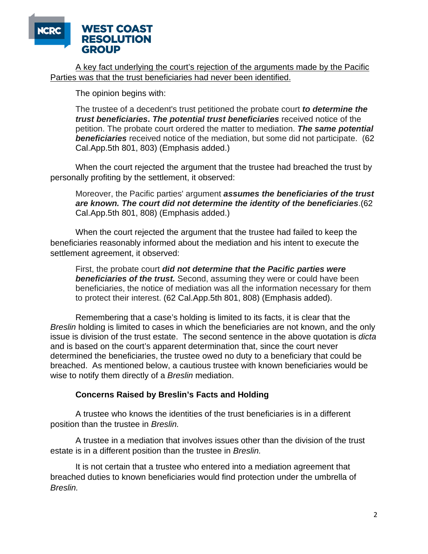

A key fact underlying the court's rejection of the arguments made by the Pacific Parties was that the trust beneficiaries had never been identified.

The opinion begins with:

The trustee of a decedent's trust petitioned the probate court *to determine the trust beneficiaries***.** *The potential trust beneficiaries* received notice of the petition. The probate court ordered the matter to mediation. *The same potential beneficiaries* received notice of the mediation, but some did not participate. (62 Cal.App.5th 801, 803) (Emphasis added.)

When the court rejected the argument that the trustee had breached the trust by personally profiting by the settlement, it observed:

Moreover, the Pacific parties' argument *assumes the beneficiaries of the trust are known. The court did not determine the identity of the beneficiaries*.(62 Cal.App.5th 801, 808) (Emphasis added.)

When the court rejected the argument that the trustee had failed to keep the beneficiaries reasonably informed about the mediation and his intent to execute the settlement agreement, it observed:

First, the probate court *did not determine that the Pacific parties were beneficiaries of the trust.* Second, assuming they were or could have been beneficiaries, the notice of mediation was all the information necessary for them to protect their interest. (62 Cal.App.5th 801, 808) (Emphasis added).

Remembering that a case's holding is limited to its facts, it is clear that the *Breslin* holding is limited to cases in which the beneficiaries are not known, and the only issue is division of the trust estate. The second sentence in the above quotation is *dicta*  and is based on the court's apparent determination that, since the court never determined the beneficiaries, the trustee owed no duty to a beneficiary that could be breached. As mentioned below, a cautious trustee with known beneficiaries would be wise to notify them directly of a *Breslin* mediation.

## **Concerns Raised by Breslin's Facts and Holding**

A trustee who knows the identities of the trust beneficiaries is in a different position than the trustee in *Breslin.* 

A trustee in a mediation that involves issues other than the division of the trust estate is in a different position than the trustee in *Breslin.*

It is not certain that a trustee who entered into a mediation agreement that breached duties to known beneficiaries would find protection under the umbrella of *Breslin.*